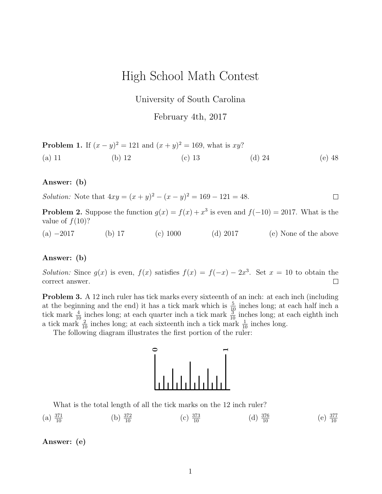# High School Math Contest

University of South Carolina

February 4th, 2017

**Problem 1.** If 
$$
(x - y)^2 = 121
$$
 and  $(x + y)^2 = 169$ , what is  $xy$ ?  
(a) 11 (b) 12 (c) 13 (d) 24 (e) 48

# Answer: (b)

*Solution:* Note that  $4xy = (x + y)^2 - (x - y)^2 = 169 - 121 = 48$ .  $\Box$ 

**Problem 2.** Suppose the function  $g(x) = f(x) + x^3$  is even and  $f(-10) = 2017$ . What is the value of  $f(10)$ ?

(a) −2017 (b) 17 (c) 1000 (d) 2017 (e) None of the above

### Answer: (b)

*Solution:* Since  $g(x)$  is even,  $f(x)$  satisfies  $f(x) = f(-x) - 2x^3$ . Set  $x = 10$  to obtain the correct answer.  $\Box$ 

**Problem 3.** A 12 inch ruler has tick marks every sixteenth of an inch: at each inch (including at the beginning and the end) it has a tick mark which is  $\frac{5}{10}$  inches long; at each half inch a tick mark  $\frac{4}{10}$  inches long; at each quarter inch a tick mark  $\frac{3}{10}$  inches long; at each eighth inch a tick mark  $\frac{2}{10}$  inches long; at each sixteenth inch a tick mark  $\frac{1}{10}$  inches long.

The following diagram illustrates the first portion of the ruler:



What is the total length of all the tick marks on the 12 inch ruler?

(a) 
$$
\frac{371}{10}
$$
 (b)  $\frac{372}{10}$  (c)  $\frac{373}{10}$  (d)  $\frac{376}{10}$  (e)  $\frac{377}{10}$ 

# Answer: (e)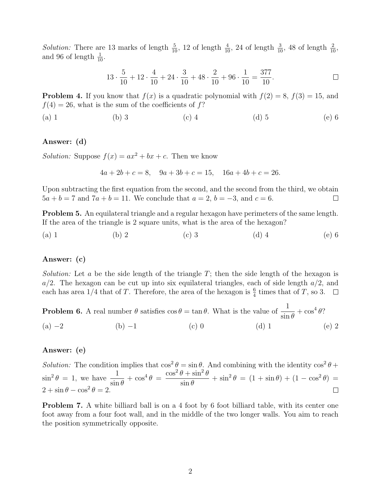*Solution:* There are 13 marks of length  $\frac{5}{10}$ , 12 of length  $\frac{4}{10}$ , 24 of length  $\frac{3}{10}$ , 48 of length  $\frac{2}{10}$ , and 96 of length  $\frac{1}{10}$ .

$$
13 \cdot \frac{5}{10} + 12 \cdot \frac{4}{10} + 24 \cdot \frac{3}{10} + 48 \cdot \frac{2}{10} + 96 \cdot \frac{1}{10} = \frac{377}{10}.
$$

**Problem 4.** If you know that  $f(x)$  is a quadratic polynomial with  $f(2) = 8$ ,  $f(3) = 15$ , and  $f(4) = 26$ , what is the sum of the coefficients of f?

(a) 1 (b) 3 (c) 4 (d) 5 (e) 6

### Answer: (d)

Solution: Suppose  $f(x) = ax^2 + bx + c$ . Then we know

$$
4a + 2b + c = 8, \quad 9a + 3b + c = 15, \quad 16a + 4b + c = 26.
$$

Upon subtracting the first equation from the second, and the second from the third, we obtain  $5a + b = 7$  and  $7a + b = 11$ . We conclude that  $a = 2$ ,  $b = -3$ , and  $c = 6$ .  $\Box$ 

Problem 5. An equilateral triangle and a regular hexagon have perimeters of the same length. If the area of the triangle is 2 square units, what is the area of the hexagon?

(a) 1 (b) 2 (c) 3 (d) 4 (e) 6

### Answer: (c)

Solution: Let a be the side length of the triangle  $T$ ; then the side length of the hexagon is  $a/2$ . The hexagon can be cut up into six equilateral triangles, each of side length  $a/2$ , and each has area  $1/4$  that of T. Therefore, the area of the hexagon is  $\frac{6}{4}$  times that of T, so 3.

**Problem 6.** A real number  $\theta$  satisfies  $\cos \theta = \tan \theta$ . What is the value of  $\frac{1}{1}$  $\sin \theta$  $+\cos^4\theta$ ? (a)  $-2$  (b)  $-1$  (c) 0 (d) 1 (e) 2

# Answer: (e)

Solution: The condition implies that  $\cos^2 \theta = \sin \theta$ . And combining with the identity  $\cos^2 \theta +$  $\sin^2 \theta = 1$ , we have  $\frac{1}{1}$  $\sin \theta$  $+\cos^4\theta =$  $\cos^2\theta + \sin^2\theta$  $\sin \theta$  $+\sin^2\theta = (1 + \sin\theta) + (1 - \cos^2\theta) =$  $2 + \sin \theta - \cos^2 \theta = 2.$ 

Problem 7. A white billiard ball is on a 4 foot by 6 foot billiard table, with its center one foot away from a four foot wall, and in the middle of the two longer walls. You aim to reach the position symmetrically opposite.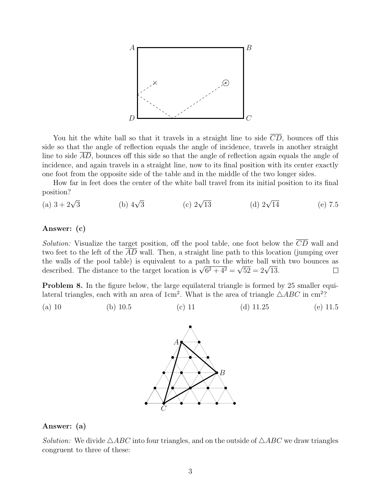

You hit the white ball so that it travels in a straight line to side  $\overline{CD}$ , bounces off this side so that the angle of reflection equals the angle of incidence, travels in another straight line to side AD, bounces off this side so that the angle of reflection again equals the angle of incidence, and again travels in a straight line, now to its final position with its center exactly one foot from the opposite side of the table and in the middle of the two longer sides.

How far in feet does the center of the white ball travel from its initial position to its final position?

(a)  $3 + 2\sqrt{3}$ (b)  $4\sqrt{3}$ (c)  $2\sqrt{13}$ (d)  $2\sqrt{14}$  $(e)$  7.5

## Answer: (c)

Solution: Visualize the target position, off the pool table, one foot below the  $\overline{CD}$  wall and two feet to the left of the AD wall. Then, a straight line path to this location (jumping over the walls of the pool table) is equivalent to a path to the white ball with two bounces as the walls of the pool table) is equivalent to a path to the white ball will<br>described. The distance to the target location is  $\sqrt{6^2 + 4^2} = \sqrt{52} = 2\sqrt{13}$ .  $\Box$ 

Problem 8. In the figure below, the large equilateral triangle is formed by 25 smaller equilateral triangles, each with an area of 1cm<sup>2</sup>. What is the area of triangle  $\triangle ABC$  in cm<sup>2</sup>?

(a) 10 (b) 10.5 (c) 11 (d) 11.25 (e) 11.5



# Answer: (a)

*Solution:* We divide  $\triangle ABC$  into four triangles, and on the outside of  $\triangle ABC$  we draw triangles congruent to three of these: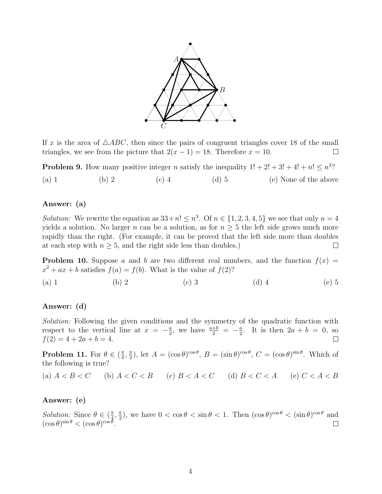

If x is the area of  $\triangle ABC$ , then since the pairs of congruent triangles cover 18 of the small triangles, we see from the picture that  $2(x - 1) = 18$ . Therefore  $x = 10$ .  $\Box$ 

**Problem 9.** How many positive integer *n* satisfy the inequality  $1! + 2! + 3! + 4! + n! \leq n^3$ ? (a) 1 (b) 2 (c) 4 (d) 5 (e) None of the above

# Answer: (a)

*Solution:* We rewrite the equation as  $33+n! \leq n^3$ . Of  $n \in \{1, 2, 3, 4, 5\}$  we see that only  $n=4$ yields a solution. No larger n can be a solution, as for  $n \geq 5$  the left side grows much more rapidly than the right. (For example, it can be proved that the left side more than doubles at each step with  $n \geq 5$ , and the right side less than doubles.)  $\Box$ 

**Problem 10.** Suppose a and b are two different real numbers, and the function  $f(x) =$  $x^2 + ax + b$  satisfies  $f(a) = f(b)$ . What is the value of  $f(2)$ ?

(a) 1 (b) 2 (c) 3 (d) 4 (e) 5

# Answer: (d)

Solution: Following the given conditions and the symmetry of the quadratic function with respect to the vertical line at  $x = -\frac{a}{2}$  $\frac{a}{2}$ , we have  $\frac{a+b}{2} = -\frac{a}{2}$  $\frac{a}{2}$ . It is then  $2a + b = 0$ , so  $f(2) = 4 + 2a + b = 4.$  $\Box$ 

**Problem 11.** For  $\theta \in (\frac{\pi}{4})$  $\frac{\pi}{4}, \frac{\pi}{2}$  $(\frac{\pi}{2})$ , let  $A = (\cos \theta)^{\cos \theta}$ ,  $B = (\sin \theta)^{\cos \theta}$ ,  $C = (\cos \theta)^{\sin \theta}$ . Which of the following is true?

(a) 
$$
A < B < C
$$
 (b)  $A < C < B$  (c)  $B < A < C$  (d)  $B < C < A$  (e)  $C < A < B$ 

# Answer: (e)

Solution: Since  $\theta \in (\frac{\pi}{4})$  $\frac{\pi}{4}, \frac{\pi}{2}$  $\frac{\pi}{2}$ , we have  $0 < \cos \theta < \sin \theta < 1$ . Then  $(\cos \theta)^{\cos \theta} < (\sin \theta)^{\cos \theta}$  and  $(\cos \theta)^{\sin \theta} < (\cos \theta)^{\cos \theta}.$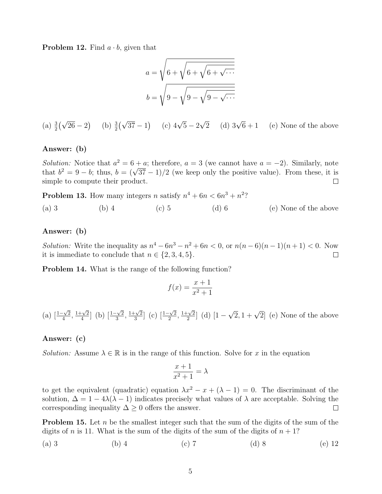**Problem 12.** Find  $a \cdot b$ , given that

$$
a = \sqrt{6 + \sqrt{6 + \sqrt{6 + \sqrt{\cdots}}}}
$$

$$
b = \sqrt{9 - \sqrt{9 - \sqrt{9 - \sqrt{\cdots}}}}
$$

(a)  $\frac{3}{2}(\sqrt{26}-2)$  (b)  $\frac{3}{2}(\sqrt{37}-1)$  (c)  $4\sqrt{5}-2$  $\sqrt{2}$  (d) 3 $\sqrt{ }$ (e) None of the above

### Answer: (b)

Solution: Notice that  $a^2 = 6 + a$ ; therefore,  $a = 3$  (we cannot have  $a = -2$ ). Similarly, note *Solution:* Notice that  $a^2 = 6 + a$ ; therefore,  $a = 3$  (we cannot have  $a = -2$ ). Similarly, note that  $b^2 = 9 - b$ ; thus,  $b = (\sqrt{37} - 1)/2$  (we keep only the positive value). From these, it is simple to compute their product.  $\Box$ 

**Problem 13.** How many integers n satisfy  $n^4 + 6n < 6n^3 + n^2$ ?

(a) 3 (b) 4 (c) 5 (d) 6 (e) None of the above

### Answer: (b)

*Solution:* Write the inequality as  $n^4 - 6n^3 - n^2 + 6n < 0$ , or  $n(n-6)(n-1)(n+1) < 0$ . Now it is immediate to conclude that  $n \in \{2, 3, 4, 5\}.$  $\Box$ 

Problem 14. What is the range of the following function?

$$
f(x) = \frac{x+1}{x^2+1}
$$

(a)  $\left[\frac{1-\sqrt{2}}{4}\right]$  $\frac{\sqrt{2}}{4}$ ,  $\frac{1+\sqrt{2}}{4}$  $\frac{-\sqrt{2}}{4}$ ] (b)  $\left[\frac{1-\sqrt{2}}{3}\right]$  $\frac{\sqrt{2}}{3}, \frac{1+\sqrt{2}}{3}$  $\frac{-\sqrt{2}}{3}$  (c)  $\left[\frac{1-\sqrt{2}}{2}\right]$  $\frac{1+\sqrt{2}}{2}, \frac{1+\sqrt{2}}{2}$  $\frac{-\sqrt{2}}{2}$  (d) [1 –  $\sqrt{2}$ ,  $1 + \sqrt{2}$  (e) None of the above

### Answer: (c)

*Solution:* Assume  $\lambda \in \mathbb{R}$  is in the range of this function. Solve for x in the equation

$$
\frac{x+1}{x^2+1} = \lambda
$$

to get the equivalent (quadratic) equation  $\lambda x^2 - x + (\lambda - 1) = 0$ . The discriminant of the solution,  $\Delta = 1 - 4\lambda(\lambda - 1)$  indicates precisely what values of  $\lambda$  are acceptable. Solving the corresponding inequality  $\Delta \geq 0$  offers the answer.  $\Box$ 

**Problem 15.** Let n be the smallest integer such that the sum of the digits of the sum of the digits of n is 11. What is the sum of the digits of the sum of the digits of  $n + 1$ ?

(a) 3 (b) 4 (c) 7 (d) 8 (e) 12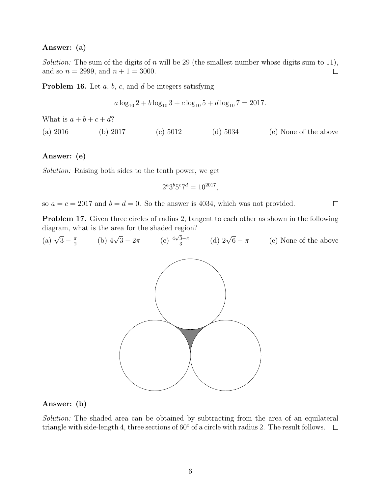# Answer: (a)

Solution: The sum of the digits of n will be 29 (the smallest number whose digits sum to 11), and so  $n = 2999$ , and  $n + 1 = 3000$ .  $\Box$ 

**Problem 16.** Let  $a, b, c$ , and  $d$  be integers satisfying

$$
a \log_{10} 2 + b \log_{10} 3 + c \log_{10} 5 + d \log_{10} 7 = 2017.
$$

What is  $a + b + c + d$ ?

(a) 2016 (b) 2017 (c) 5012 (d) 5034 (e) None of the above

# Answer: (e)

Solution: Raising both sides to the tenth power, we get

$$
2^a 3^b 5^c 7^d = 10^{2017},
$$

 $\Box$ 

so  $a = c = 2017$  and  $b = d = 0$ . So the answer is 4034, which was not provided.

Problem 17. Given three circles of radius 2, tangent to each other as shown in the following diagram, what is the area for the shaded region?

(a) 
$$
\sqrt{3} - \frac{\pi}{2}
$$
 (b)  $4\sqrt{3} - 2\pi$  (c)  $\frac{4\sqrt{3} - \pi}{3}$  (d)  $2\sqrt{6} - \pi$  (e) None of the above

### Answer: (b)

Solution: The shaded area can be obtained by subtracting from the area of an equilateral triangle with side-length 4, three sections of  $60°$  of a circle with radius 2. The result follows.  $\Box$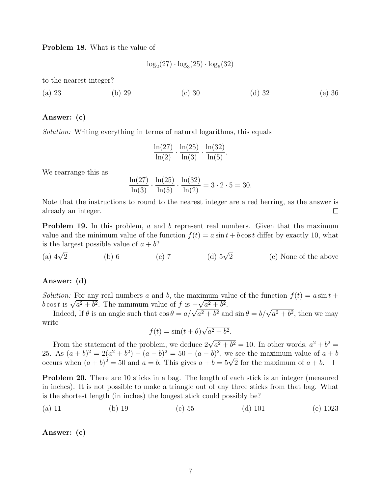Problem 18. What is the value of

$$
\log_2(27) \cdot \log_3(25) \cdot \log_5(32)
$$

to the nearest integer?

(a) 23 (b) 29 (c) 30 (d) 32 (e) 36

#### Answer: (c)

Solution: Writing everything in terms of natural logarithms, this equals

$$
\frac{\ln(27)}{\ln(2)} \cdot \frac{\ln(25)}{\ln(3)} \cdot \frac{\ln(32)}{\ln(5)}.
$$

We rearrange this as

$$
\frac{\ln(27)}{\ln(3)} \cdot \frac{\ln(25)}{\ln(5)} \cdot \frac{\ln(32)}{\ln(2)} = 3 \cdot 2 \cdot 5 = 30.
$$

Note that the instructions to round to the nearest integer are a red herring, as the answer is already an integer.  $\Box$ 

**Problem 19.** In this problem, a and b represent real numbers. Given that the maximum value and the minimum value of the function  $f(t) = a \sin t + b \cos t$  differ by exactly 10, what is the largest possible value of  $a + b$ ?

(a)  $4\sqrt{2}$  $\frac{2}{2}$  (b) 6 (c) 7 (d) 5√ (d)  $5\sqrt{2}$  (e) None of the above

# Answer: (d)

Solution: For any real numbers a and b, the maximum value of the function  $f(t) = a \sin t +$ b cos t is  $\sqrt{a^2 + b^2}$ . The minimum value of f is  $-\sqrt{a^2 + b^2}$ .

s t is  $\sqrt{a^2 + b^2}$ . The minimum value of f is  $-\sqrt{a^2 + b^2}$ .<br>Indeed, If  $\theta$  is an angle such that  $\cos \theta = a/\sqrt{a^2 + b^2}$  and  $\sin \theta = b/\sqrt{a^2 + b^2}$ , then we may write √

$$
f(t) = \sin(t + \theta)\sqrt{a^2 + b^2}.
$$

From the statement of the problem, we deduce  $2\sqrt{a^2 + b^2} = 10$ . In other words,  $a^2 + b^2 =$ 25. As  $(a + b)^2 = 2(a^2 + b^2) - (a - b)^2 = 50 - (a - b)^2$ , we see the maximum value of  $a + b$ 25. As  $(a + b)^2 = 2(a^2 + b^2) - (a - b)^2 = 50 - (a - b)^2$ , we see the maximum value of a conduct of  $a + b$ .<br>occurs when  $(a + b)^2 = 50$  and  $a = b$ . This gives  $a + b = 5\sqrt{2}$  for the maximum of  $a + b$ .

Problem 20. There are 10 sticks in a bag. The length of each stick is an integer (measured in inches). It is not possible to make a triangle out of any three sticks from that bag. What is the shortest length (in inches) the longest stick could possibly be?

(a) 11 (b) 19 (c) 55 (d) 101 (e) 1023

Answer: (c)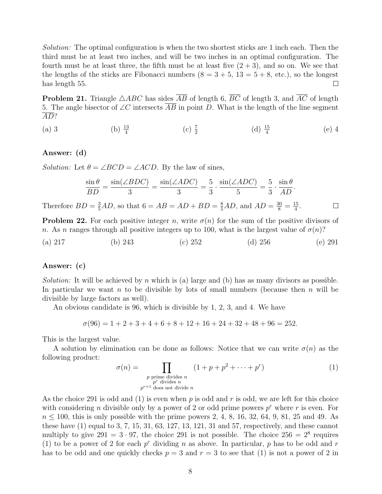Solution: The optimal configuration is when the two shortest sticks are 1 inch each. Then the third must be at least two inches, and will be two inches in an optimal configuration. The fourth must be at least three, the fifth must be at least five  $(2 + 3)$ , and so on. We see that the lengths of the sticks are Fibonacci numbers  $(8 = 3 + 5, 13 = 5 + 8, \text{ etc.})$ , so the longest has length 55.  $\Box$ 

**Problem 21.** Triangle  $\triangle ABC$  has sides  $\overline{AB}$  of length 6,  $\overline{BC}$  of length 3, and  $\overline{AC}$  of length 5. The angle bisector of  $\angle C$  intersects AB in point D. What is the length of the line segment AD?

(a) 3 (b)  $\frac{13}{4}$  $(c)$   $\frac{7}{2}$ (d)  $\frac{15}{4}$ (e) 4

### Answer: (d)

*Solution:* Let  $\theta = \angle BCD = \angle ACD$ . By the law of sines,

$$
\frac{\sin \theta}{BD} = \frac{\sin(\angle BDC)}{3} = \frac{\sin(\angle ADC)}{3} = \frac{5}{3} \cdot \frac{\sin(\angle ADC)}{5} = \frac{5}{3} \cdot \frac{\sin \theta}{AD}.
$$

Therefore  $BD = \frac{3}{5}AD$ , so that  $6 = AB = AD + BD = \frac{8}{5}AD$ , and  $AD = \frac{30}{8} = \frac{15}{4}$  $\frac{15}{4}$ .  $\Box$ 

**Problem 22.** For each positive integer n, write  $\sigma(n)$  for the sum of the positive divisors of n. As n ranges through all positive integers up to 100, what is the largest value of  $\sigma(n)$ ?

(a) 217 (b) 243 (c) 252 (d) 256 (e) 291

# Answer: (c)

*Solution:* It will be achieved by n which is (a) large and (b) has as many divisors as possible. In particular we want  $n$  to be divisible by lots of small numbers (because then  $n$  will be divisible by large factors as well).

An obvious candidate is 96, which is divisible by 1, 2, 3, and 4. We have

 $\sigma(96) = 1 + 2 + 3 + 4 + 6 + 8 + 12 + 16 + 24 + 32 + 48 + 96 = 252.$ 

This is the largest value.

A solution by elimination can be done as follows: Notice that we can write  $\sigma(n)$  as the following product:

$$
\sigma(n) = \prod_{\substack{p \text{ prime divides } n \\ p^r \text{ divides } n}} (1 + p + p^2 + \dots + p^r)
$$
(1)

As the choice 291 is odd and (1) is even when p is odd and r is odd, we are left for this choice with considering *n* divisible only by a power of 2 or odd prime powers  $p^r$  where *r* is even. For  $n \le 100$ , this is only possible with the prime powers 2, 4, 8, 16, 32, 64, 9, 81, 25 and 49. As these have (1) equal to 3, 7, 15, 31, 63, 127, 13, 121, 31 and 57, respectively, and these cannot multiply to give  $291 = 3 \cdot 97$ , the choice 291 is not possible. The choice  $256 = 2^8$  requires (1) to be a power of 2 for each  $p^r$  dividing n as above. In particular, p has to be odd and r has to be odd and one quickly checks  $p = 3$  and  $r = 3$  to see that (1) is not a power of 2 in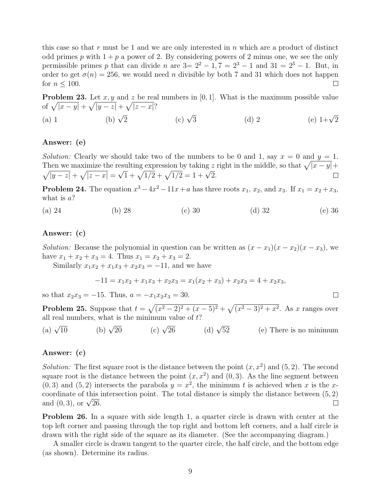this case so that  $r$  must be 1 and we are only interested in  $n$  which are a product of distinct odd primes p with  $1 + p$  a power of 2. By considering powers of 2 minus one, we see the only permissible primes p that can divide n are  $3=2^2-1, 7=2^3-1$  and  $31=2^5-1$ . But, in order to get  $\sigma(n) = 256$ , we would need *n* divisible by both 7 and 31 which does not happen for  $n \leq 100$ .  $\Box$ 

**Problem 23.** Let x, y and z be real numbers in [0, 1]. What is the maximum possible value of  $\sqrt{|x-y|} + \sqrt{|y-z|} + \sqrt{|z-x|}$ ?

(a) 1 (b)  $\sqrt{2}$ (c)  $\sqrt{3}$ 3 (d) 2 (e)  $1+\sqrt{2}$ 

# Answer: (e)

Solution: Clearly we should take two of the numbers to be 0 and 1, say  $x = 0$  and  $y = 1$ . Then we maximize the resulting expression by taking z right in the middle, so that  $\sqrt{|x - y|} +$  $\frac{1}{2}$ uning expression by taking 2<br> $\frac{1}{1} + \sqrt{1/2} + \sqrt{1/2} = 1 + \sqrt{2}.$  $\sqrt{|y-z|} + \sqrt{|z-x|} =$  $\Box$ 

**Problem 24.** The equation  $x^3 - 4x^2 - 11x + a$  has three roots  $x_1, x_2$ , and  $x_3$ . If  $x_1 = x_2 + x_3$ , what is  $a$ ?

(a) 24 (b) 28 (c) 30 (d) 32 (e) 36

# Answer: (c)

*Solution:* Because the polynomial in question can be written as  $(x - x_1)(x - x_2)(x - x_3)$ , we have  $x_1 + x_2 + x_3 = 4$ . Thus  $x_1 = x_2 + x_3 = 2$ .

Similarly  $x_1x_2 + x_1x_3 + x_2x_3 = -11$ , and we have

$$
-11 = x_1x_2 + x_1x_3 + x_2x_3 = x_1(x_2 + x_3) + x_2x_3 = 4 + x_2x_3,
$$

 $\Box$ 

so that  $x_2x_3 = -15$ . Thus,  $a = -x_1x_2x_3 = 30$ .

**Problem 25.** Suppose that  $t = \sqrt{(x^2 - 2)^2 + (x - 5)^2} + \sqrt{(x^2 - 3)^2 + x^2}$ . As x ranges over all real numbers, what is the minimum value of  $t$ ?

(a)  $\sqrt{10}$ (b)  $\sqrt{20}$  $\overline{20}$  (c)  $\sqrt{26}$  (d)  $\sqrt{ }$ 52 (e) There is no minimum

# Answer: (c)

Solution: The first square root is the distance between the point  $(x, x^2)$  and  $(5, 2)$ . The second square root is the distance between the point  $(x, x^2)$  and  $(0, 3)$ . As the line segment between  $(0, 3)$  and  $(5, 2)$  intersects the parabola  $y = x^2$ , the minimum t is achieved when x is the xcoordinate of this intersection point. The total distance is simply the distance between  $(5, 2)$ coordinate of this i<br>and  $(0,3)$ , or  $\sqrt{26}$ . П

**Problem 26.** In a square with side length 1, a quarter circle is drawn with center at the top left corner and passing through the top right and bottom left corners, and a half circle is drawn with the right side of the square as its diameter. (See the accompanying diagram.)

A smaller circle is drawn tangent to the quarter circle, the half circle, and the bottom edge (as shown). Determine its radius.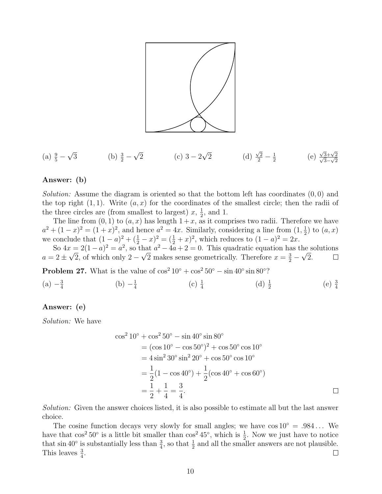

(a) 
$$
\frac{9}{5} - \sqrt{3}
$$
 (b)  $\frac{3}{2} - \sqrt{2}$  (c)  $3 - 2\sqrt{2}$  (d)  $\frac{\sqrt{2}}{2} - \frac{1}{2}$  (e)  $\frac{\sqrt{3} + \sqrt{2}}{\sqrt{3} - \sqrt{2}}$ 

### Answer: (b)

Solution: Assume the diagram is oriented so that the bottom left has coordinates  $(0,0)$  and the top right  $(1, 1)$ . Write  $(a, x)$  for the coordinates of the smallest circle; then the radii of the three circles are (from smallest to largest)  $x, \frac{1}{2}$  $\frac{1}{2}$ , and 1.

The line from  $(0, 1)$  to  $(a, x)$  has length  $1 + x$ , as it comprises two radii. Therefore we have  $a^2 + (1-x)^2 = (1+x)^2$ , and hence  $a^2 = 4x$ . Similarly, considering a line from  $(1, \frac{1}{2})$  $\frac{1}{2}$ ) to  $(a, x)$ we conclude that  $(1-a)^2 + (\frac{1}{2} - x)^2 = (\frac{1}{2} + x)^2$ , which reduces to  $(1-a)^2 = 2x$ .

So  $4x = 2(1-a)^2 = a^2$ , so that  $a^2 - 4a + 2 = 0$ . This quadratic equation has the solutions  $a = 2 \pm \sqrt{2}$ , of which only  $2 - \sqrt{2}$  makes sense geometrically. Therefore  $x = \frac{3}{2} - \sqrt{2}$ .  $\Box$ 

**Problem 27.** What is the value of  $\cos^2 10^\circ + \cos^2 50^\circ - \sin 40^\circ \sin 80^\circ$ ?  $(a) -\frac{3}{4}$ 4  $(b) -\frac{1}{4}$ 4  $(c)$   $\frac{1}{4}$ (d)  $\frac{1}{2}$ 

# Answer: (e)

Solution: We have

$$
\cos^2 10^\circ + \cos^2 50^\circ - \sin 40^\circ \sin 80^\circ
$$
  
=  $(\cos 10^\circ - \cos 50^\circ)^2 + \cos 50^\circ \cos 10^\circ$   
=  $4 \sin^2 30^\circ \sin^2 20^\circ + \cos 50^\circ \cos 10^\circ$   
=  $\frac{1}{2}(1 - \cos 40^\circ) + \frac{1}{2}(\cos 40^\circ + \cos 60^\circ)$   
=  $\frac{1}{2} + \frac{1}{4} = \frac{3}{4}$ .

 $(e)$   $\frac{3}{4}$ 

Solution: Given the answer choices listed, it is also possible to estimate all but the last answer choice.

The cosine function decays very slowly for small angles; we have  $\cos 10^\circ = .984...$  We have that  $\cos^2 50^\circ$  is a little bit smaller than  $\cos^2 45^\circ$ , which is  $\frac{1}{2}$ . Now we just have to notice that  $\sin 40^\circ$  is substantially less than  $\frac{3}{4}$ , so that  $\frac{1}{2}$  and all the smaller answers are not plausible. This leaves  $\frac{3}{4}$ .  $\Box$